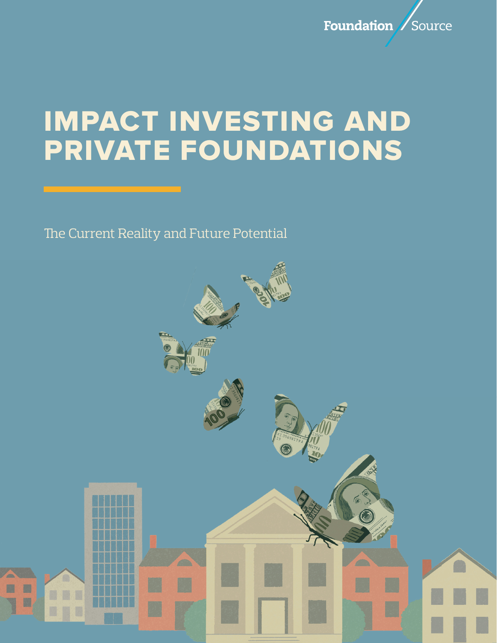

# IMPACT INVESTING AND PRIVATE FOUNDATIONS

The Current Reality and Future Potential

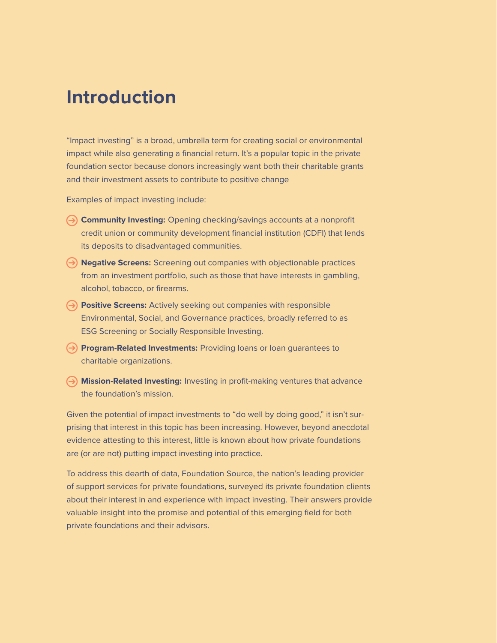# **Introduction**

"Impact investing" is a broad, umbrella term for creating social or environmental impact while also generating a financial return. It's a popular topic in the private foundation sector because donors increasingly want both their charitable grants and their investment assets to contribute to positive change

Examples of impact investing include:

- **Community Investing:** Opening checking/savings accounts at a nonprofit credit union or community development financial institution (CDFI) that lends its deposits to disadvantaged communities.
- **Negative Screens:** Screening out companies with objectionable practices from an investment portfolio, such as those that have interests in gambling, alcohol, tobacco, or firearms.
- **Positive Screens:** Actively seeking out companies with responsible Environmental, Social, and Governance practices, broadly referred to as ESG Screening or Socially Responsible Investing.
- **Program-Related Investments:** Providing loans or loan guarantees to charitable organizations.
- **Mission-Related Investing:** Investing in profit-making ventures that advance the foundation's mission.

Given the potential of impact investments to "do well by doing good," it isn't surprising that interest in this topic has been increasing. However, beyond anecdotal evidence attesting to this interest, little is known about how private foundations are (or are not) putting impact investing into practice.

To address this dearth of data, Foundation Source, the nation's leading provider of support services for private foundations, surveyed its private foundation clients about their interest in and experience with impact investing. Their answers provide valuable insight into the promise and potential of this emerging field for both private foundations and their advisors.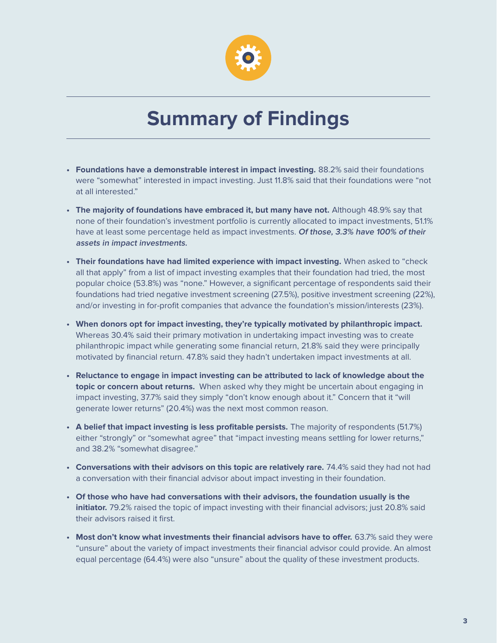

# **Summary of Findings**

- **• Foundations have a demonstrable interest in impact investing.** 88.2% said their foundations were "somewhat" interested in impact investing. Just 11.8% said that their foundations were "not at all interested."
- **• The majority of foundations have embraced it, but many have not.** Although 48.9% say that none of their foundation's investment portfolio is currently allocated to impact investments, 51.1% have at least some percentage held as impact investments. **Of those, 3.3% have 100% of their assets in impact investments.**
- **• Their foundations have had limited experience with impact investing.** When asked to "check all that apply" from a list of impact investing examples that their foundation had tried, the most popular choice (53.8%) was "none." However, a significant percentage of respondents said their foundations had tried negative investment screening (27.5%), positive investment screening (22%), and/or investing in for-profit companies that advance the foundation's mission/interests (23%).
- **• When donors opt for impact investing, they're typically motivated by philanthropic impact.** Whereas 30.4% said their primary motivation in undertaking impact investing was to create philanthropic impact while generating some financial return, 21.8% said they were principally motivated by financial return. 47.8% said they hadn't undertaken impact investments at all.
- **• Reluctance to engage in impact investing can be attributed to lack of knowledge about the topic or concern about returns.** When asked why they might be uncertain about engaging in impact investing, 37.7% said they simply "don't know enough about it." Concern that it "will generate lower returns" (20.4%) was the next most common reason.
- **• A belief that impact investing is less profitable persists.** The majority of respondents (51.7%) either "strongly" or "somewhat agree" that "impact investing means settling for lower returns," and 38.2% "somewhat disagree."
- **• Conversations with their advisors on this topic are relatively rare.** 74.4% said they had not had a conversation with their financial advisor about impact investing in their foundation.
- **• Of those who have had conversations with their advisors, the foundation usually is the initiator.** 79.2% raised the topic of impact investing with their financial advisors; just 20.8% said their advisors raised it first.
- **• Most don't know what investments their financial advisors have to offer.** 63.7% said they were "unsure" about the variety of impact investments their financial advisor could provide. An almost equal percentage (64.4%) were also "unsure" about the quality of these investment products.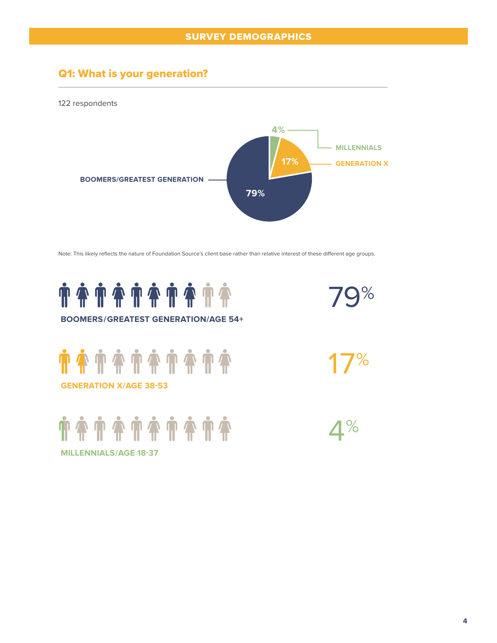## Q1: What is your generation?

122 respondents



Note: This likely reflects the nature of Foundation Source's client base rather than relative interest of these different age groups.

 $\mathsf{Q}\%$ 

17%

 $\mathbf{4}^{\%}$ 



#### **BOOMERS/GREATEST GENERATION/AGE 54+**

**############# GENERATION X/AGE 38-53**

**TATATATATA** 

**MILLENNIALS/AGE 18-37**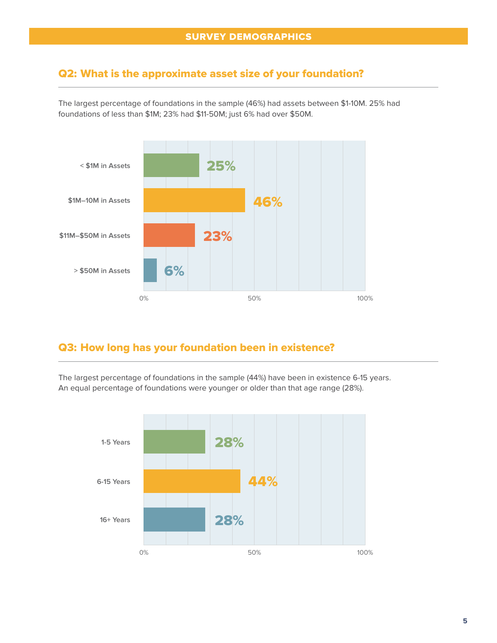#### Q2: What is the approximate asset size of your foundation?

The largest percentage of foundations in the sample (46%) had assets between \$1-10M. 25% had foundations of less than \$1M; 23% had \$11-50M; just 6% had over \$50M.



## Q3: How long has your foundation been in existence?

The largest percentage of foundations in the sample (44%) have been in existence 6-15 years. An equal percentage of foundations were younger or older than that age range (28%).

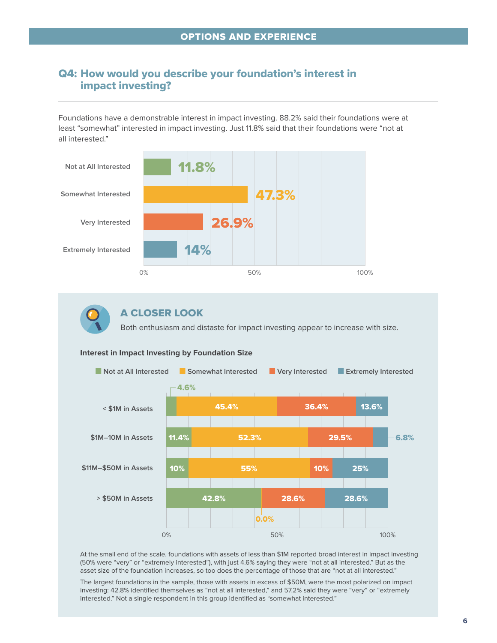#### Q4: How would you describe your foundation's interest in impact investing?

Foundations have a demonstrable interest in impact investing. 88.2% said their foundations were at least "somewhat" interested in impact investing. Just 11.8% said that their foundations were "not at all interested."





#### A CLOSER LOOK

Both enthusiasm and distaste for impact investing appear to increase with size.



#### **Interest in Impact Investing by Foundation Size**

At the small end of the scale, foundations with assets of less than \$1M reported broad interest in impact investing (50% were "very" or "extremely interested"), with just 4.6% saying they were "not at all interested." But as the asset size of the foundation increases, so too does the percentage of those that are "not at all interested."

The largest foundations in the sample, those with assets in excess of \$50M, were the most polarized on impact investing: 42.8% identified themselves as "not at all interested," and 57.2% said they were "very" or "extremely interested." Not a single respondent in this group identified as "somewhat interested."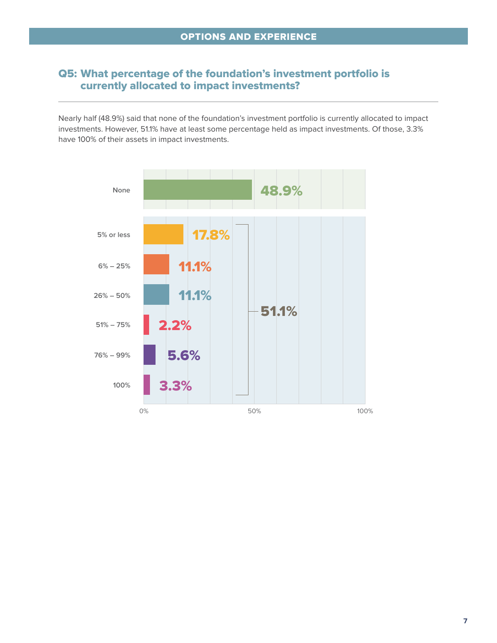### Q5: What percentage of the foundation's investment portfolio is currently allocated to impact investments?

Nearly half (48.9%) said that none of the foundation's investment portfolio is currently allocated to impact investments. However, 51.1% have at least some percentage held as impact investments. Of those, 3.3% have 100% of their assets in impact investments.

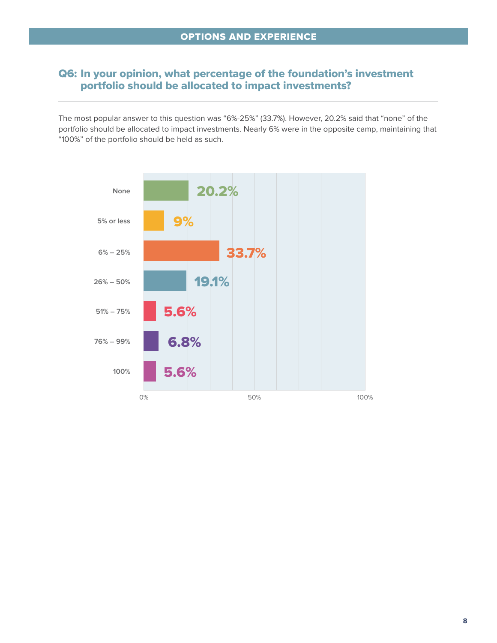#### Q6: In your opinion, what percentage of the foundation's investment portfolio should be allocated to impact investments?

The most popular answer to this question was "6%-25%" (33.7%). However, 20.2% said that "none" of the portfolio should be allocated to impact investments. Nearly 6% were in the opposite camp, maintaining that "100%" of the portfolio should be held as such.

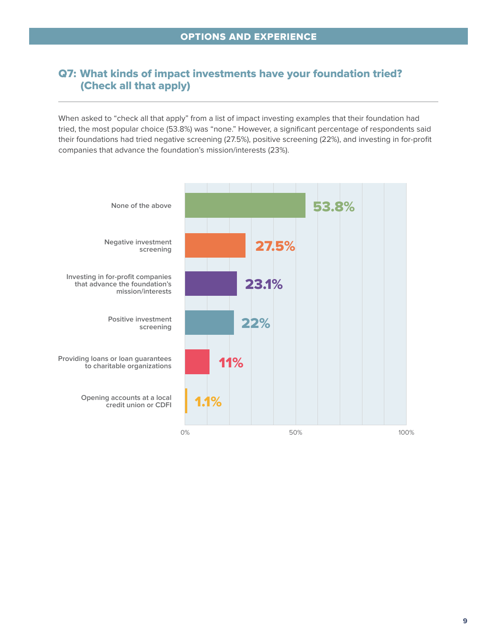### Q7: What kinds of impact investments have your foundation tried? (Check all that apply)

When asked to "check all that apply" from a list of impact investing examples that their foundation had tried, the most popular choice (53.8%) was "none." However, a significant percentage of respondents said their foundations had tried negative screening (27.5%), positive screening (22%), and investing in for-profit companies that advance the foundation's mission/interests (23%).

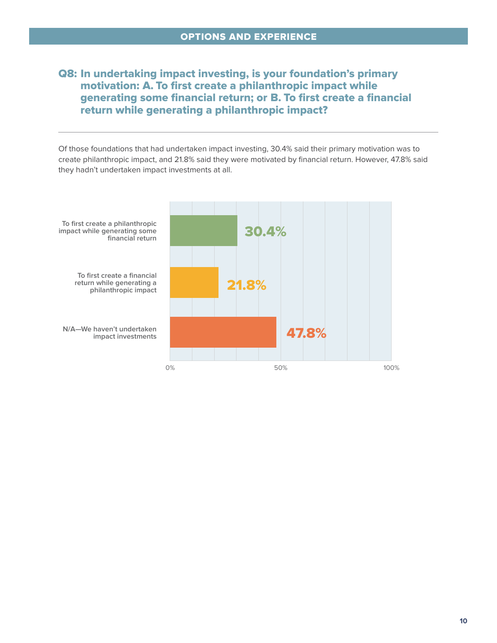#### Q8: In undertaking impact investing, is your foundation's primary motivation: A. To first create a philanthropic impact while generating some financial return; or B. To first create a financial return while generating a philanthropic impact?

Of those foundations that had undertaken impact investing, 30.4% said their primary motivation was to create philanthropic impact, and 21.8% said they were motivated by financial return. However, 47.8% said they hadn't undertaken impact investments at all.

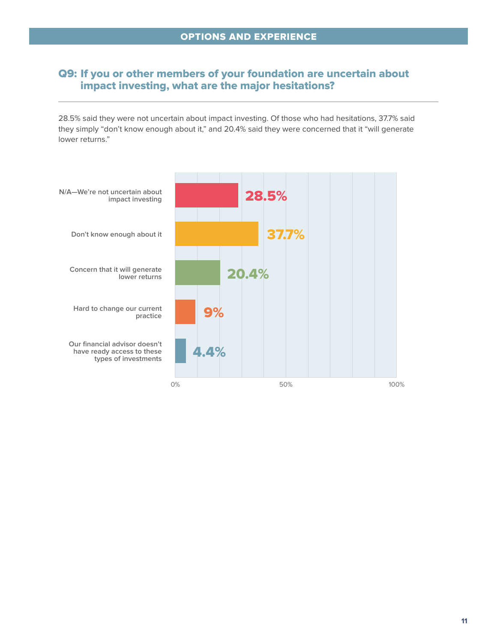#### Q9: If you or other members of your foundation are uncertain about impact investing, what are the major hesitations?

28.5% said they were not uncertain about impact investing. Of those who had hesitations, 37.7% said they simply "don't know enough about it," and 20.4% said they were concerned that it "will generate lower returns."

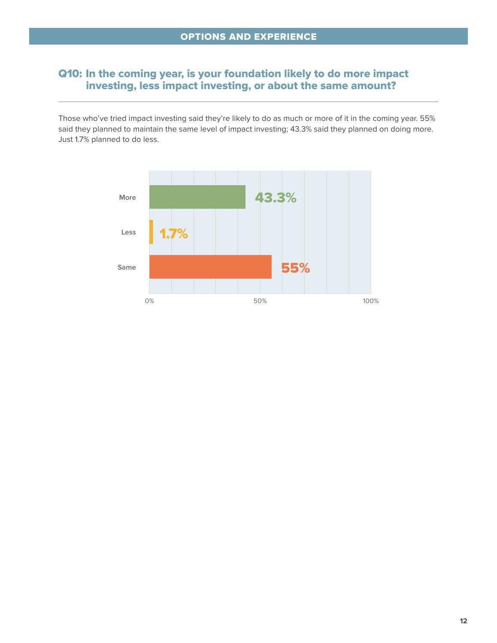#### Q10: In the coming year, is your foundation likely to do more impact investing, less impact investing, or about the same amount?

Those who've tried impact investing said they're likely to do as much or more of it in the coming year. 55% said they planned to maintain the same level of impact investing; 43.3% said they planned on doing more. Just 1.7% planned to do less.

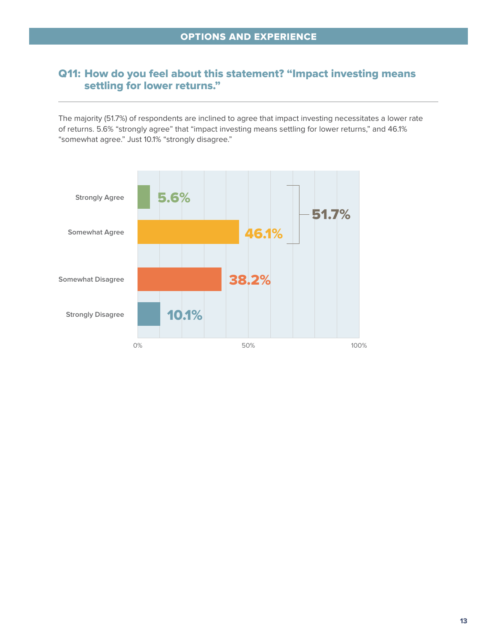#### Q11: How do you feel about this statement? "Impact investing means settling for lower returns."

The majority (51.7%) of respondents are inclined to agree that impact investing necessitates a lower rate of returns. 5.6% "strongly agree" that "impact investing means settling for lower returns," and 46.1% "somewhat agree." Just 10.1% "strongly disagree."

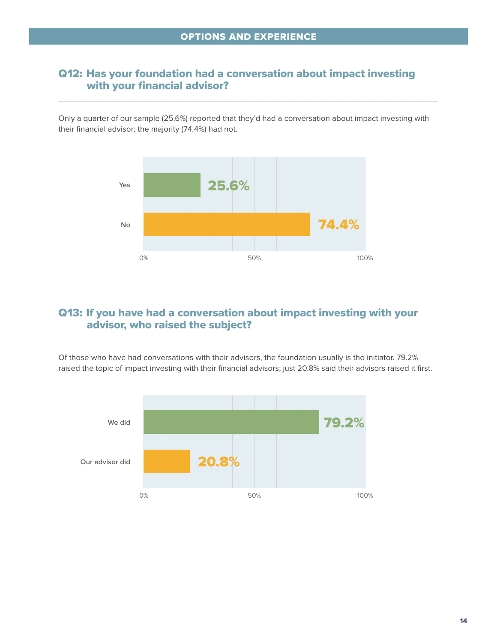#### Q12: Has your foundation had a conversation about impact investing with your financial advisor?

Only a quarter of our sample (25.6%) reported that they'd had a conversation about impact investing with their financial advisor; the majority (74.4%) had not.



#### Q13: If you have had a conversation about impact investing with your advisor, who raised the subject?

Of those who have had conversations with their advisors, the foundation usually is the initiator. 79.2% raised the topic of impact investing with their financial advisors; just 20.8% said their advisors raised it first.

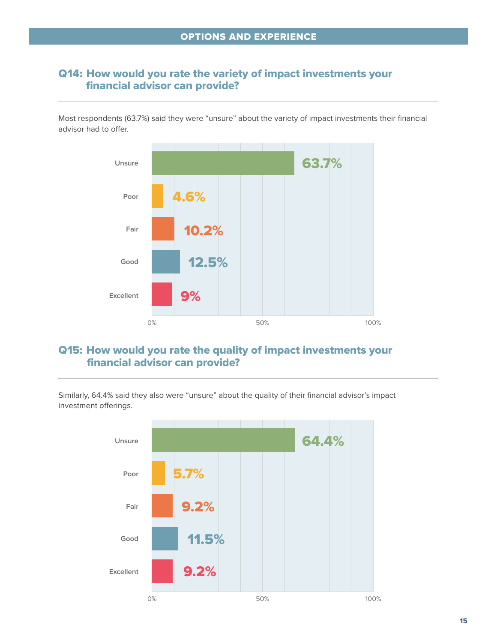#### Q14: How would you rate the variety of impact investments your financial advisor can provide?

Most respondents (63.7%) said they were "unsure" about the variety of impact investments their financial advisor had to offer.



## Q15: How would you rate the quality of impact investments your financial advisor can provide?

Similarly, 64.4% said they also were "unsure" about the quality of their financial advisor's impact investment offerings.

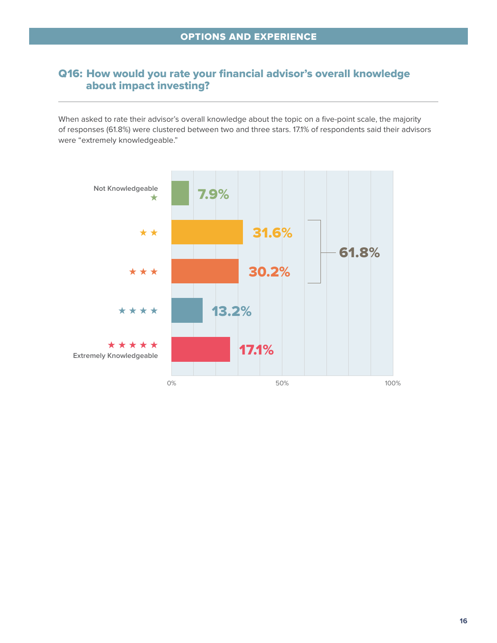### Q16: How would you rate your financial advisor's overall knowledge about impact investing?

When asked to rate their advisor's overall knowledge about the topic on a five-point scale, the majority of responses (61.8%) were clustered between two and three stars. 17.1% of respondents said their advisors were "extremely knowledgeable."

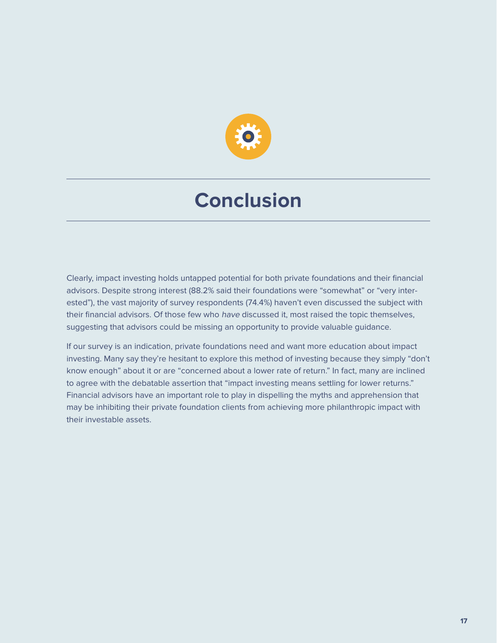

# **Conclusion**

Clearly, impact investing holds untapped potential for both private foundations and their financial advisors. Despite strong interest (88.2% said their foundations were "somewhat" or "very interested"), the vast majority of survey respondents (74.4%) haven't even discussed the subject with their financial advisors. Of those few who have discussed it, most raised the topic themselves, suggesting that advisors could be missing an opportunity to provide valuable guidance.

If our survey is an indication, private foundations need and want more education about impact investing. Many say they're hesitant to explore this method of investing because they simply "don't know enough" about it or are "concerned about a lower rate of return." In fact, many are inclined to agree with the debatable assertion that "impact investing means settling for lower returns." Financial advisors have an important role to play in dispelling the myths and apprehension that may be inhibiting their private foundation clients from achieving more philanthropic impact with their investable assets.